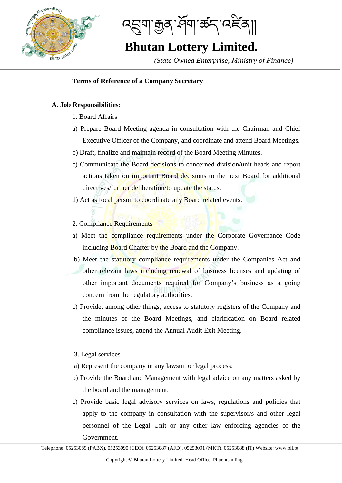

ব্ছ্ৰমাক্কুৰ প্ৰমাজ্ব বেইৰা৷

# **Bhutan Lottery Limited.**

*(State Owned Enterprise, Ministry of Finance)*

## I **Terms of Reference of a Company Secretary**

### **A. Job Responsibilities:**

- 1. Board Affairs
- a) Prepare Board Meeting agenda in consultation with the Chairman and Chief Executive Officer of the Company, and coordinate and attend Board Meetings.
- b) Draft, finalize and maintain record of the Board Meeting Minutes.
- c) Communicate the Board decisions to concerned division/unit heads and report actions taken on important Board decisions to the next Board for additional directives/further deliberation/to update the status.
- d) Act as focal person to coordinate any Board related events.

### 2. Compliance Requirements

- a) Meet the compliance requirements under the Corporate Governance Code including Board Charter by the Board and the Company.
- b) Meet the statutory compliance requirements under the Companies Act and other relevant laws including renewal of business licenses and updating of other important documents required for Company's business as a going concern from the regulatory authorities.
- c) Provide, among other things, access to statutory registers of the Company and the minutes of the Board Meetings, and clarification on Board related compliance issues, attend the Annual Audit Exit Meeting.

#### 3. Legal services

- a) Represent the company in any lawsuit or legal process;
- b) Provide the Board and Management with legal advice on any matters asked by the board and the management.
- c) Provide basic legal advisory services on laws, regulations and policies that apply to the company in consultation with the supervisor/s and other legal personnel of the Legal Unit or any other law enforcing agencies of the Government.